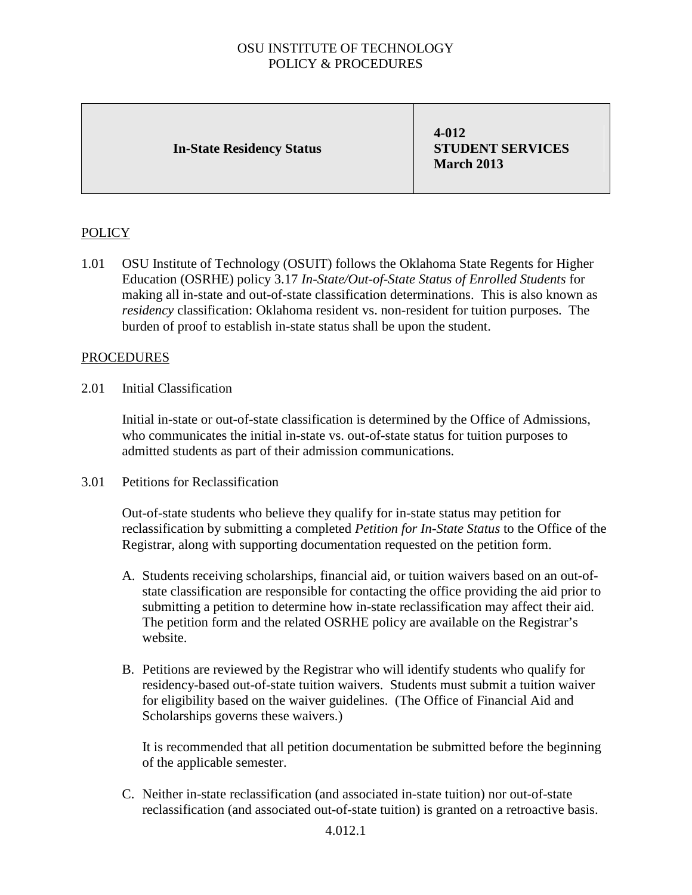### OSU INSTITUTE OF TECHNOLOGY POLICY & PROCEDURES

#### **In-State Residency Status**

**4-012 STUDENT SERVICES March 2013**

# POLICY

1.01 OSU Institute of Technology (OSUIT) follows the Oklahoma State Regents for Higher Education (OSRHE) policy 3.17 *In-State/Out-of-State Status of Enrolled Students* for making all in-state and out-of-state classification determinations. This is also known as *residency* classification: Oklahoma resident vs. non-resident for tuition purposes. The burden of proof to establish in-state status shall be upon the student.

### PROCEDURES

2.01 Initial Classification

Initial in-state or out-of-state classification is determined by the Office of Admissions, who communicates the initial in-state vs. out-of-state status for tuition purposes to admitted students as part of their admission communications.

3.01 Petitions for Reclassification

Out-of-state students who believe they qualify for in-state status may petition for reclassification by submitting a completed *Petition for In-State Status* to the Office of the Registrar, along with supporting documentation requested on the petition form.

- A. Students receiving scholarships, financial aid, or tuition waivers based on an out-ofstate classification are responsible for contacting the office providing the aid prior to submitting a petition to determine how in-state reclassification may affect their aid. The petition form and the related OSRHE policy are available on the Registrar's website.
- B. Petitions are reviewed by the Registrar who will identify students who qualify for residency-based out-of-state tuition waivers. Students must submit a tuition waiver for eligibility based on the waiver guidelines. (The Office of Financial Aid and Scholarships governs these waivers.)

It is recommended that all petition documentation be submitted before the beginning of the applicable semester.

C. Neither in-state reclassification (and associated in-state tuition) nor out-of-state reclassification (and associated out-of-state tuition) is granted on a retroactive basis.